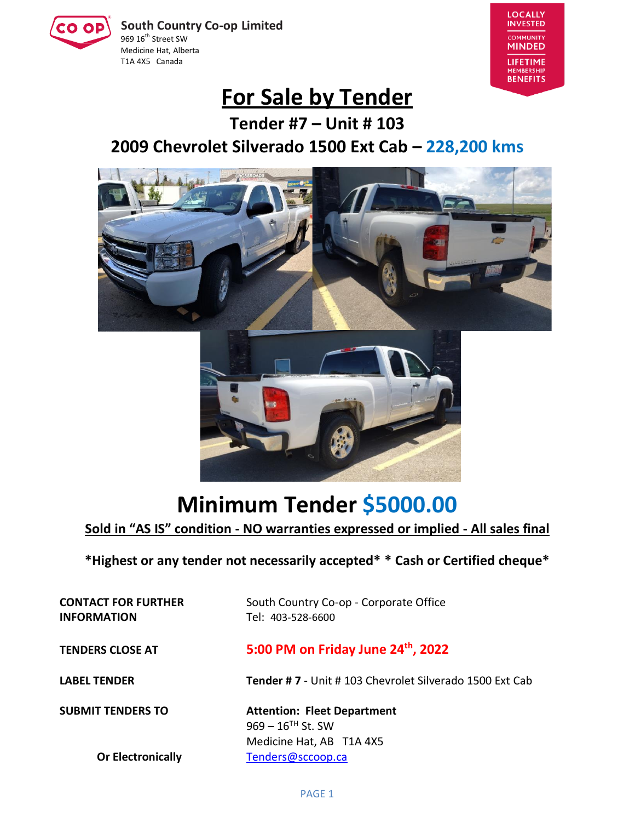**South Country Co-op Limited** 969 16<sup>th</sup> Street SW Medicine Hat, Alberta T1A 4X5 Canada



## **For Sale by Tender**

**Tender #7 – Unit # 103 2009 Chevrolet Silverado 1500 Ext Cab – 228,200 kms**



# **Minimum Tender \$5000.00**

**Sold in "AS IS" condition - NO warranties expressed or implied - All sales final**

**\*Highest or any tender not necessarily accepted\* \* Cash or Certified cheque\***

**INFORMATION** Tel: 403-528-6600

**CONTACT FOR FURTHER** South Country Co-op - Corporate Office

**TENDERS CLOSE AT 5:00 PM on Friday June 24th , 2022**

**LABEL TENDER Tender # 7** - Unit # 103 Chevrolet Silverado 1500 Ext Cab

**SUBMIT TENDERS TO Attention: Fleet Department**  $969 - 16$ <sup>TH</sup> St. SW Medicine Hat, AB T1A 4X5 **Or Electronically** [Tenders@sccoop.ca](mailto:Tenders@sccoop.ca)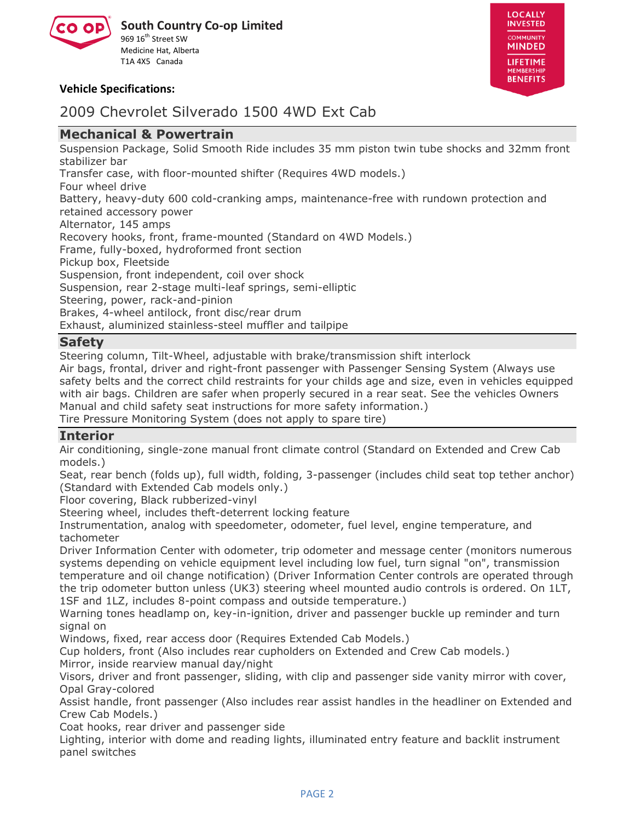



#### **Vehicle Specifications:**

### 2009 Chevrolet Silverado 1500 4WD Ext Cab

#### **Mechanical & Powertrain**

Suspension Package, Solid Smooth Ride includes 35 mm piston twin tube shocks and 32mm front stabilizer bar

Transfer case, with floor-mounted shifter (Requires 4WD models.)

Four wheel drive

Battery, heavy-duty 600 cold-cranking amps, maintenance-free with rundown protection and retained accessory power

Alternator, 145 amps

Recovery hooks, front, frame-mounted (Standard on 4WD Models.)

Frame, fully-boxed, hydroformed front section

Pickup box, Fleetside

Suspension, front independent, coil over shock

Suspension, rear 2-stage multi-leaf springs, semi-elliptic

Steering, power, rack-and-pinion

Brakes, 4-wheel antilock, front disc/rear drum

Exhaust, aluminized stainless-steel muffler and tailpipe

#### **Safety**

Steering column, Tilt-Wheel, adjustable with brake/transmission shift interlock

Air bags, frontal, driver and right-front passenger with Passenger Sensing System (Always use safety belts and the correct child restraints for your childs age and size, even in vehicles equipped with air bags. Children are safer when properly secured in a rear seat. See the vehicles Owners Manual and child safety seat instructions for more safety information.)

Tire Pressure Monitoring System (does not apply to spare tire)

#### **Interior**

Air conditioning, single-zone manual front climate control (Standard on Extended and Crew Cab models.)

Seat, rear bench (folds up), full width, folding, 3-passenger (includes child seat top tether anchor) (Standard with Extended Cab models only.)

Floor covering, Black rubberized-vinyl

Steering wheel, includes theft-deterrent locking feature

Instrumentation, analog with speedometer, odometer, fuel level, engine temperature, and tachometer

Driver Information Center with odometer, trip odometer and message center (monitors numerous systems depending on vehicle equipment level including low fuel, turn signal "on", transmission temperature and oil change notification) (Driver Information Center controls are operated through the trip odometer button unless (UK3) steering wheel mounted audio controls is ordered. On 1LT, 1SF and 1LZ, includes 8-point compass and outside temperature.)

Warning tones headlamp on, key-in-ignition, driver and passenger buckle up reminder and turn signal on

Windows, fixed, rear access door (Requires Extended Cab Models.)

Cup holders, front (Also includes rear cupholders on Extended and Crew Cab models.) Mirror, inside rearview manual day/night

Visors, driver and front passenger, sliding, with clip and passenger side vanity mirror with cover, Opal Gray-colored

Assist handle, front passenger (Also includes rear assist handles in the headliner on Extended and Crew Cab Models.)

Coat hooks, rear driver and passenger side

Lighting, interior with dome and reading lights, illuminated entry feature and backlit instrument panel switches